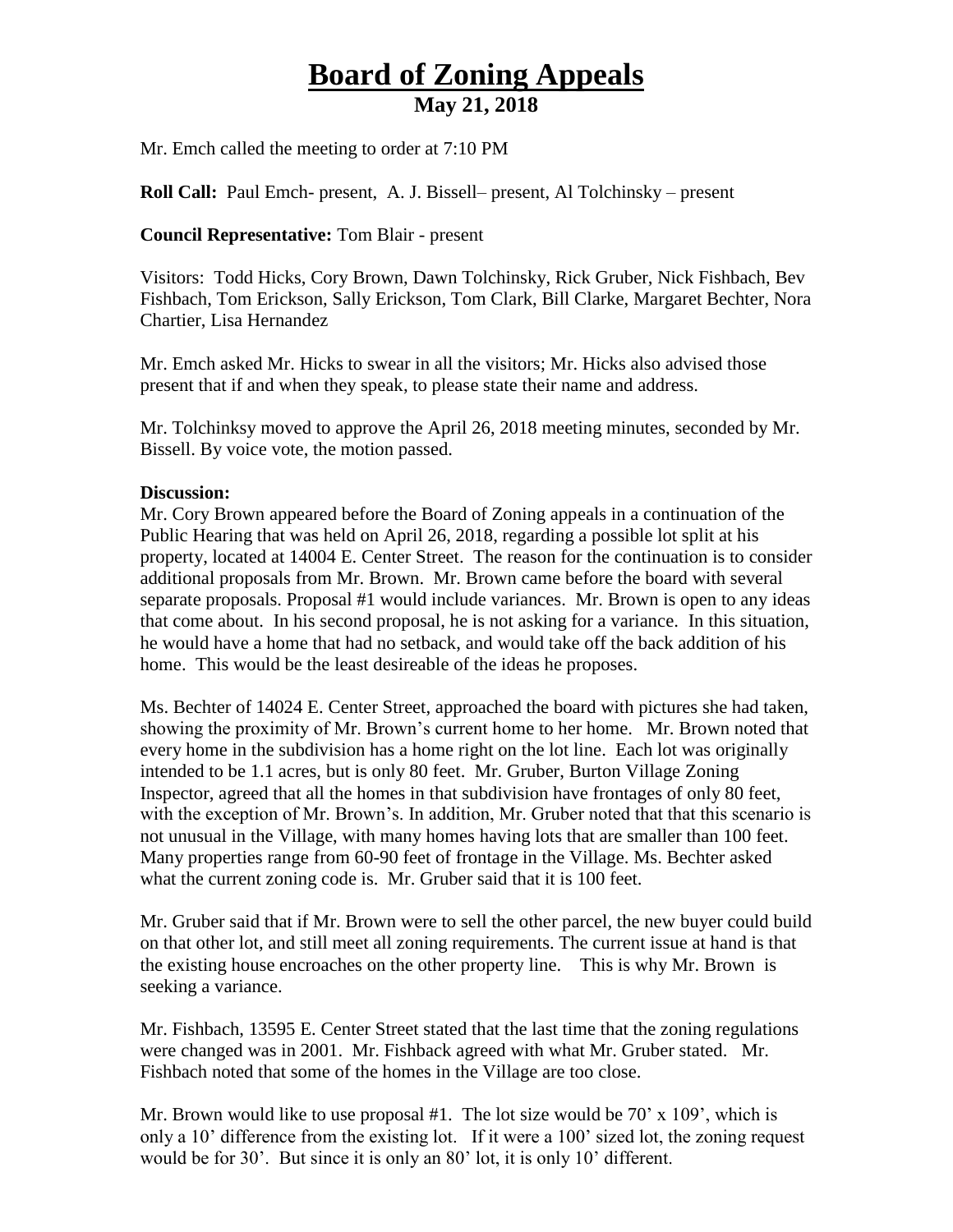## **Board of Zoning Appeals May 21, 2018**

Mr. Emch called the meeting to order at 7:10 PM

**Roll Call:** Paul Emch- present, A. J. Bissell– present, Al Tolchinsky – present

## **Council Representative:** Tom Blair - present

Visitors: Todd Hicks, Cory Brown, Dawn Tolchinsky, Rick Gruber, Nick Fishbach, Bev Fishbach, Tom Erickson, Sally Erickson, Tom Clark, Bill Clarke, Margaret Bechter, Nora Chartier, Lisa Hernandez

Mr. Emch asked Mr. Hicks to swear in all the visitors; Mr. Hicks also advised those present that if and when they speak, to please state their name and address.

Mr. Tolchinksy moved to approve the April 26, 2018 meeting minutes, seconded by Mr. Bissell. By voice vote, the motion passed.

## **Discussion:**

Mr. Cory Brown appeared before the Board of Zoning appeals in a continuation of the Public Hearing that was held on April 26, 2018, regarding a possible lot split at his property, located at 14004 E. Center Street. The reason for the continuation is to consider additional proposals from Mr. Brown. Mr. Brown came before the board with several separate proposals. Proposal #1 would include variances. Mr. Brown is open to any ideas that come about. In his second proposal, he is not asking for a variance. In this situation, he would have a home that had no setback, and would take off the back addition of his home. This would be the least desireable of the ideas he proposes.

Ms. Bechter of 14024 E. Center Street, approached the board with pictures she had taken, showing the proximity of Mr. Brown's current home to her home. Mr. Brown noted that every home in the subdivision has a home right on the lot line. Each lot was originally intended to be 1.1 acres, but is only 80 feet. Mr. Gruber, Burton Village Zoning Inspector, agreed that all the homes in that subdivision have frontages of only 80 feet, with the exception of Mr. Brown's. In addition, Mr. Gruber noted that that this scenario is not unusual in the Village, with many homes having lots that are smaller than 100 feet. Many properties range from 60-90 feet of frontage in the Village. Ms. Bechter asked what the current zoning code is. Mr. Gruber said that it is 100 feet.

Mr. Gruber said that if Mr. Brown were to sell the other parcel, the new buyer could build on that other lot, and still meet all zoning requirements. The current issue at hand is that the existing house encroaches on the other property line. This is why Mr. Brown is seeking a variance.

Mr. Fishbach, 13595 E. Center Street stated that the last time that the zoning regulations were changed was in 2001. Mr. Fishback agreed with what Mr. Gruber stated. Mr. Fishbach noted that some of the homes in the Village are too close.

Mr. Brown would like to use proposal  $#1$ . The lot size would be 70' x 109', which is only a 10' difference from the existing lot. If it were a 100' sized lot, the zoning request would be for 30'. But since it is only an 80' lot, it is only 10' different.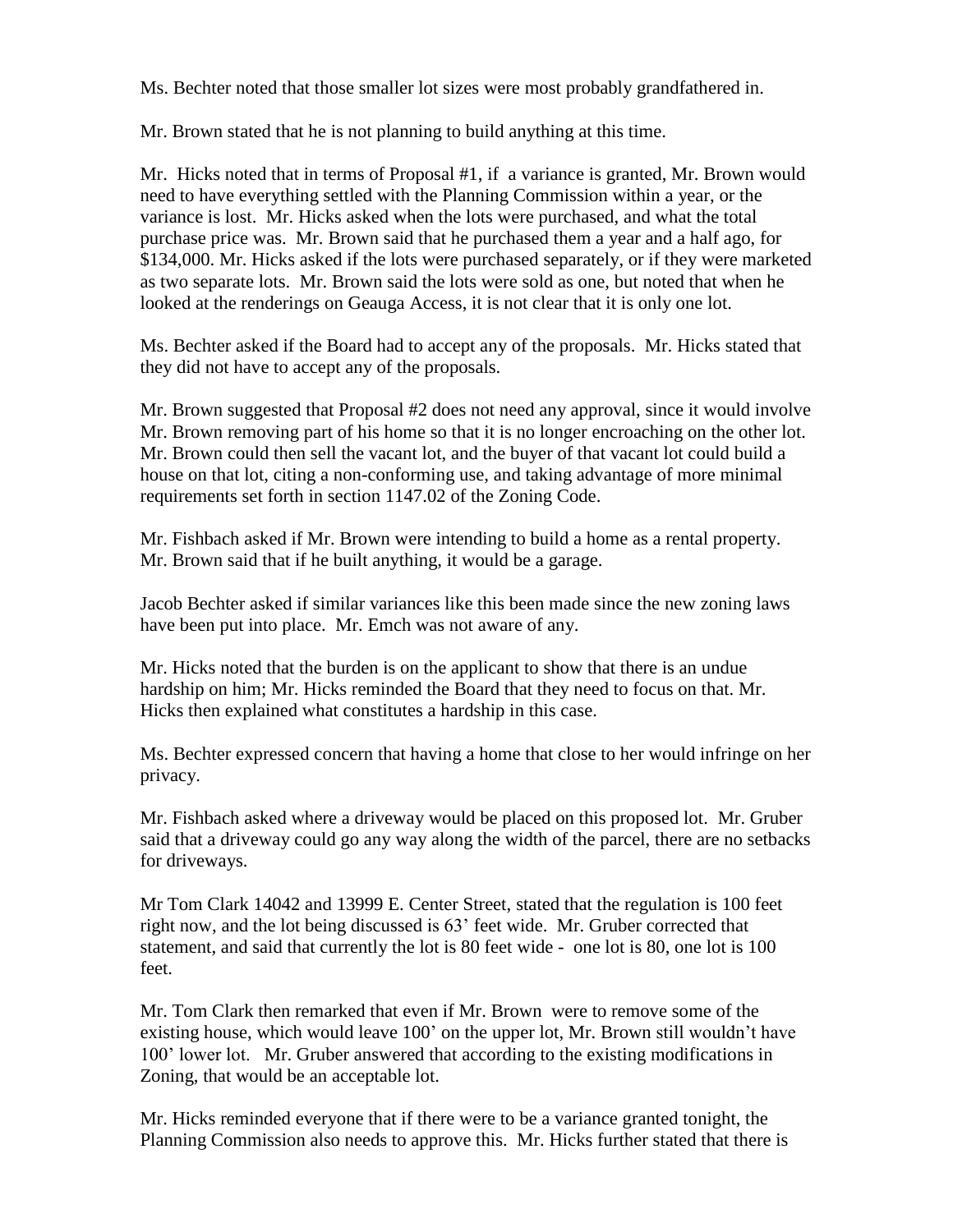Ms. Bechter noted that those smaller lot sizes were most probably grandfathered in.

Mr. Brown stated that he is not planning to build anything at this time.

Mr. Hicks noted that in terms of Proposal #1, if a variance is granted, Mr. Brown would need to have everything settled with the Planning Commission within a year, or the variance is lost. Mr. Hicks asked when the lots were purchased, and what the total purchase price was. Mr. Brown said that he purchased them a year and a half ago, for \$134,000. Mr. Hicks asked if the lots were purchased separately, or if they were marketed as two separate lots. Mr. Brown said the lots were sold as one, but noted that when he looked at the renderings on Geauga Access, it is not clear that it is only one lot.

Ms. Bechter asked if the Board had to accept any of the proposals. Mr. Hicks stated that they did not have to accept any of the proposals.

Mr. Brown suggested that Proposal #2 does not need any approval, since it would involve Mr. Brown removing part of his home so that it is no longer encroaching on the other lot. Mr. Brown could then sell the vacant lot, and the buyer of that vacant lot could build a house on that lot, citing a non-conforming use, and taking advantage of more minimal requirements set forth in section 1147.02 of the Zoning Code.

Mr. Fishbach asked if Mr. Brown were intending to build a home as a rental property. Mr. Brown said that if he built anything, it would be a garage.

Jacob Bechter asked if similar variances like this been made since the new zoning laws have been put into place. Mr. Emch was not aware of any.

Mr. Hicks noted that the burden is on the applicant to show that there is an undue hardship on him; Mr. Hicks reminded the Board that they need to focus on that. Mr. Hicks then explained what constitutes a hardship in this case.

Ms. Bechter expressed concern that having a home that close to her would infringe on her privacy.

Mr. Fishbach asked where a driveway would be placed on this proposed lot. Mr. Gruber said that a driveway could go any way along the width of the parcel, there are no setbacks for driveways.

Mr Tom Clark 14042 and 13999 E. Center Street, stated that the regulation is 100 feet right now, and the lot being discussed is 63' feet wide. Mr. Gruber corrected that statement, and said that currently the lot is 80 feet wide - one lot is 80, one lot is 100 feet.

Mr. Tom Clark then remarked that even if Mr. Brown were to remove some of the existing house, which would leave 100' on the upper lot, Mr. Brown still wouldn't have 100' lower lot. Mr. Gruber answered that according to the existing modifications in Zoning, that would be an acceptable lot.

Mr. Hicks reminded everyone that if there were to be a variance granted tonight, the Planning Commission also needs to approve this. Mr. Hicks further stated that there is